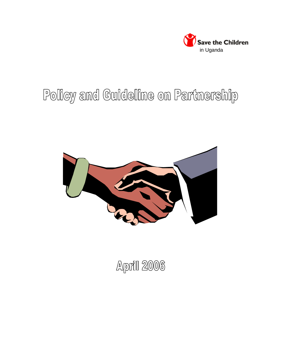

# Policy and Guideline on Partnership



**April 2006**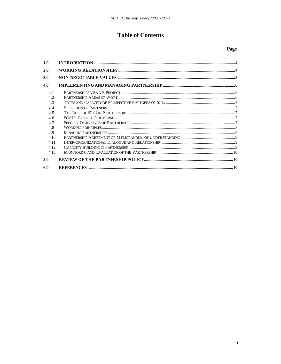# **Table of Contents**

| 1.0   |  |
|-------|--|
| 2.0   |  |
| 3.0   |  |
| 4.0   |  |
| 4.1   |  |
| 4.2   |  |
| 4.3   |  |
| 4.4   |  |
| 4.5   |  |
| 4.6   |  |
| 4.7   |  |
| 4.8   |  |
| 4.9   |  |
| 4.10  |  |
| 4 1 1 |  |
| 4.12  |  |
| 4.13  |  |
| 5.0   |  |
| 6.0   |  |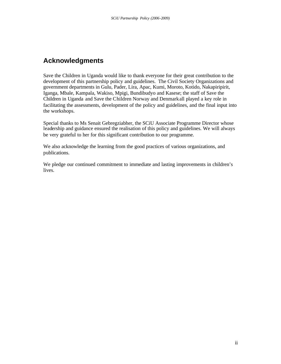# **Acknowledgments**

Save the Children in Uganda would like to thank everyone for their great contribution to the development of this partnership policy and guidelines. The Civil Society Organizations and government departments in Gulu, Pader, Lira, Apac, Kumi, Moroto, Kotido, Nakapiripirit, Iganga, Mbale, Kampala, Wakiso, Mpigi, Bundibudyo and Kasese; the staff of Save the Children in Uganda and Save the Children Norway and Denmark all played a key role in facilitating the assessments, development of the policy and guidelines, and the final input into the workshops.

Special thanks to Ms Senait Gebregziabher, the SCiU Associate Programme Director whose leadership and guidance ensured the realisation of this policy and guidelines. We will always be very grateful to her for this significant contribution to our programme.

We also acknowledge the learning from the good practices of various organizations, and publications.

We pledge our continued commitment to immediate and lasting improvements in children's lives.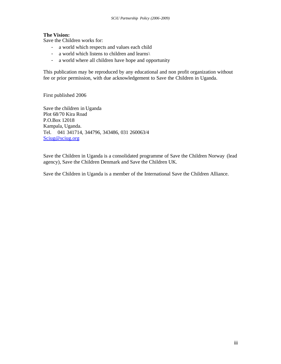# **The Vision:**

Save the Children works for:

- a world which respects and values each child
- a world which listens to children and learns\
- a world where all children have hope and opportunity

This publication may be reproduced by any educational and non profit organization without fee or prior permission, with due acknowledgement to Save the Children in Uganda.

First published 2006

Save the children in Uganda Plot 68/70 Kira Road P.O.Box 12018 Kampala, Uganda. Tel. 041 341714, 344796, 343486, 031 260063/4 Sciug@sciug.org

Save the Children in Uganda is a consolidated programme of Save the Children Norway (lead agency), Save the Children Denmark and Save the Children UK.

Save the Children in Uganda is a member of the International Save the Children Alliance.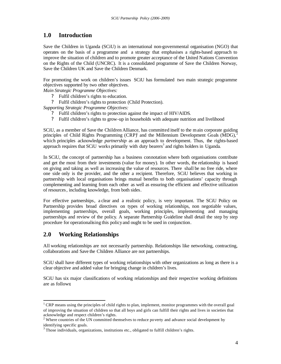# **1.0 Introduction**

Save the Children in Uganda (SCiU) is an international non-governmental organisation (NGO) that operates on the basis of a programme and a strategy that emphasises a rights-based approach to improve the situation of children and to promote greater acceptance of the United Nations Convention on the Rights of the Child (UNCRC). It is a consolidated programme of Save the Children Norway, Save the Children UK and Save the Children Denmark.

For promoting the work on children's issues SCiU has formulated two main strategic programme objectives supported by two other objectives.

*Main Strategic Programme Objectives:*

- ? Fulfil children's rights to education.
- ? Fulfil children's rights to protection (Child Protection).

*Supporting Strategic Programme Objectives:*

- ? Fulfil children's rights to protection against the impact of HIV/AIDS.
- ? Fulfil children's rights to grow-up in households with adequate nutrition and livelihood

SCiU, as a member of Save the Children Alliance, has committed itself to the main corporate guiding principles of Child Rights Programming  $(CRP)^{1}$  and the Millennium Development Goals  $(MDG)^{2}$ which principles acknowledge *partnership* as an approach to development. Thus, the rights-based approach requires that SCiU works primarily with duty bearers<sup>3</sup> and rights holders in Uganda.

In SCiU, the concept of partnership has a business connotation where both organisations contribute and get the most from their investments (value for money). In other words, the relationship is based on giving and taking as well as increasing the value of resources. There shall be no free ride, where one side only is the provider, and the other a recipient. Therefore, SCiU believes that working in partnership with local organisations brings mutual benefits to both organisations' capacity through complementing and learning from each other as well as ensuring the efficient and effective utilization of resources, including knowledge, from both sides.

For effective partnerships, a clear and a realistic policy, is very important. The SCiU Policy on Partnership provides broad directives on types of working relationships, non negotiable values, implementing partnerships, overall goals, working principles, implementing and managing partnerships and review of the policy. A separate Partnership Guideline shall detail the step by step procedure for operationalising this policy and ought to be used in conjunction.

# **2.0 Working Relationships**

 $\overline{a}$ 

All working relationships are not necessarily partnership. Relationships like networking, contracting, collaborations and Save the Children Alliance are not partnerships.

SCiU shall have different types of working relationships with other organizations as long as there is a clear objective and added value for bringing change in children's lives.

SCiU has six major classifications of working relationships and their respective working definitions are as follows:

<sup>&</sup>lt;sup>1</sup> CRP means using the principles of child rights to plan, implement, monitor programmes with the overall goal of improving the situation of children so that all boys and girls can fulfill their rights and lives in societies that acknowledge and respect children's rights.

<sup>&</sup>lt;sup>2</sup> Where countries of the UN committed themselves to reduce poverty and advance social development by identifying specific goals.

 $3$  Those individuals, organizations, institutions etc., obligated to fulfill children's rights.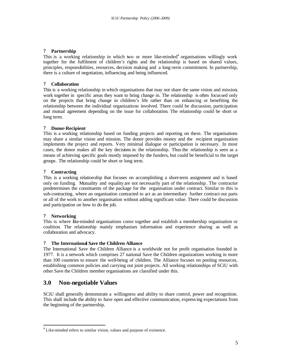#### ? **Partnership**

This is a working relationship in which two or more like-minded<sup>4</sup> organisations willingly work together for the fulfilment of children's rights and the relationship is based on shared values, principles, responsibilities, resources, decision making and a long-term commitment. In partnership, there is a culture of negotiation, influencing and being influenced.

#### ? **Collaboration**

This is a working relationship in which organisations that may not share the same vision and mission, work together in specific areas they want to bring change in. The relationship is often focussed only on the projects that bring change in children's life rather than on enhancing or benefiting the relationship between the individual organizations involved. There could be discussion, participation and mutual agreement depending on the issue for collaboration. The relationship could be short or long term.

#### ? **Donor-Recipient**

This is a working relationship based on funding projects and reporting on them. The organisations may share a similar vision and mission. The donor provides money and the recipient organisation implements the project and reports. Very minimal dialogue or participation is necessary. In most cases, the donor makes all the key decisions in the relationship. Thus the relationship is seen as a means of achieving specific goals mostly imposed by the funders, but could be beneficial to the target groups. The relationship could be short or long term.

#### ? **Contracting**

This is a working relationship that focuses on accomplishing a short-term assignment and is based only on funding. Mutuality and equality are not necessarily part of the relationship . The contractor predetermines the constituents of the package for the organisation under contract. Similar to this is sub-contracting, where an organisation contracted to act as an intermediary further contract out parts or all of the work to another organisation without adding significant value. There could be discussion and participation on how to do the job.

#### ? **Networking**

 $\overline{\phantom{a}}$ 

This is where like-minded organisations come together and establish a membership organisation or coalition. The relationship mainly emphasises information and experience sharing as well as collaboration and advocacy.

#### ? **The International Save the Children Alliance**

The International Save the Children Alliance is a worldwide not for profit organisation founded in 1977. It is a network which comprises 27 national Save the Children organizations working in more than 100 countries to ensure the well-being of children. The Alliance focuses on pooling resources, establishing common policies and carrying out joint projects. All working relationships of SCiU with other Save the Children member organisations are classified under this.

# **3.0 Non-negotiable Values**

SCiU shall generally demonstrate a willingness and ability to share control, power and recognition. This shall include the ability to have open and effective communication, expressing expectations from the beginning of the partnership.

 $4$  Like-minded refers to similar vision, values and purpose of existence.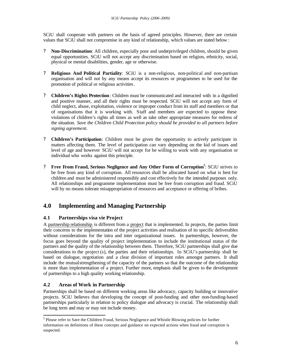SCiU shall cooperate with partners on the basis of agreed principles. However, there are certain values that SCiU shall not compromise in any kind of relationship, which values are stated below :

- ? **Non-Discrimination**: All children, especially poor and underprivileged children, should be given equal opportunities. SCiU will not accept any discrimination based on religion, ethnicity, social, physical or mental disabilities, gender, age or otherwise.
- ? **Religious And Political Partiality**: SCiU is a non-religious, non-political and non-partisan organisation and will not by any means accept its resources or programmes to be used for the promotion of political or religious activities.
- ? **Children's Rights Protection**: Children must be communicated and interacted with in a dignified and positive manner, and all their rights must be respected. SCiU will not accept any form of child neglect, abuse, exploitation, violence or improper conduct from its staff and members or that of organisations that it is working with. Staff and members are expected to oppose these violations of children's rights all times as well as take other appropriate measures for redress of the situation. *Save the Children Child Protection policy should be provided to all partners before signing agreement.*
- ? **Children's Participation**: Children must be given the opportunity to actively participate in matters affecting them. The level of participation can vary depending on the kid of issues and level of age and however SCiU will not accept for be willing to work with any organisation or individual who works against this principle.
- ? **Free From Fraud, Serious Negligence and Any Other Form of Corruption<sup>5</sup>** : SCiU strives to be free from any kind of corruption. All resources shall be allocated based on what is best for children and must be administered responsibly and cost effectively for the intended purposes only. All relationships and programme implementation must be free from corruption and fraud. SCiU will by no means tolerate misappropriation of resources and acceptance or offering of bribes.

# **4.0 Implementing and Managing Partnership**

# **4.1 Partnerships visa vie Project**

A partnership relationship is different from a project that is implemented. In projects, the parties limit their concerns to the implementation of the project activities and realisation of its specific deliverables without considerations for the intra and inter organizational issues. In partnerships, however, the focus goes beyond the quality of project implementation to include the institutional status of the partners and the quality of the relationship between them. Therefore, SCiU partnerships shall give due considerations to the project (s), the parties and their relationships. In SCiU's partnership shall be based on dialogue, negotiation and a clear division of important roles amongst partners. It shall include the mutual strengthening of the capacity of the partners so that the outcome of the relationship is more than implementation of a project. Further more, emphasis shall be given to the development of partnerships to a high quality working relationship.

# **4.2 Areas of Work in Partnership**

 $\overline{a}$ 

Partnerships shall be based on different working areas like advocacy, capacity building or innovative projects. SCiU believes that developing the concept of post-funding and other non-funding-based partnerships particularly in relation to policy dialogue and advocacy is crucial. The relationship shall be long term and may or may not include money.

<sup>5</sup> Please refer to Save the Children Fraud, Serious Negligence and Whistle Blowing policies for further information on definitions of these concepts and guidance on expected actions when fraud and corruption is suspected.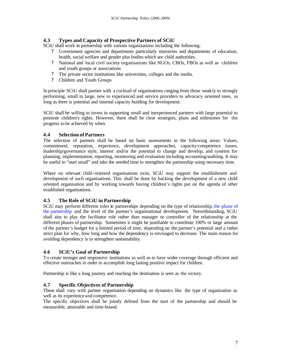# **4.3 Types and Capacity of Prospective Partners of SCiU**

SCiU shall work in partnership with various organizations including the following:

- ? Government agencies and departments particularly ministries and departments of education, health, social welfare and gender plus bodies which are child authorities.
- ? National and local civil society organisations like NGOs, CBOs, FBOs as well as children and youth groups or associations
- ? The private sector institutions like universities, colleges and the media.
- ? Children and Youth Groups

In principle SCiU shall partner with a cocktail of organisations ranging from those weakly to strongly performing, small to large, new to experienced and service providers to advocacy oriented ones, as long as there is potential and internal capacity building for development.

SCiU shall be willing to invest in supporting small and inexperienced partners with large potential to promote children's rights. However, there shall be clear strategies, plans and milestones for the progress to be achieved by when.

## **4.4 Selection of Partners**

The selection of partners shall be based on basic assessments in the following areas: Values, commitment, reputation, experience, development approaches, capacity/competence issues, leadership/governance style, interest and/or the potential to change and develop, and systems for planning, implementation, reporting, monitoring and evaluation including accounting/auditing. It may be useful to "start small" and take the needed time to strengthen the partnership using necessary time.

Where no relevant child-oriented organisations exist, SCiU may support the establishment and development of such organisations. This shall be done by backing the development of a new child oriented organisation and by working towards having children's rights put on the agenda of other established organisations.

# **4.5 The Role of SCiU in Partnership**

SCiU may perform different roles in partnerships depending on the type of relationship, the phase of the partnership and the level of the partner's organisational development. Notwithstanding, SCiU shall aim to play the facilitator role rather than manager or controller of the relationship at the different phases of partnership. Sometimes it might be justifiable to contribute 100% or large amount of the partner's budget for a limited period of time, depending on the partner's potential and a rather strict plan for why, how long and how the dependency is envisaged to decrease. The main reason for avoiding dependency is to strengthen sustainability.

# **4.6 SCiU's Goal of Partnership**

To create stronger and responsive institutions as well as to have wider coverage through efficient and effective outreaches in order to accomplish long lasting positive impact for children.

Partnership is like a long journey and reaching the destination is seen as the victory.

# **4.7 Specific Objectives of Partnership**

These shall vary with partner organisation depending on dynamics like the type of organization as well as its experience and competence.

The specific objectives shall be jointly defined from the start of the partnership and should be measurable, attainable and time-bound.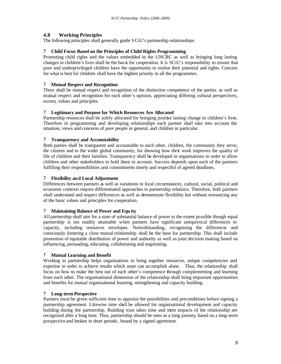# **4.8 Working Principles**

The following principles shall generally guide SCiU's partnership relationships:

### ? **Child Focus Based on the Principles of Child Rights Programming**

Promoting child rights and the values embedded in the UNCRC as well as bringing long lasting changes in children's lives shall be the basis for cooperation. It is SCiU's responsibility to ensure that poor and underprivileged children have the opportunity to realise their potential and rights. Concern for what is best for children shall have the highest priority in all the programmes.

#### ? **Mutual Respect and Recognition**

There shall be mutual respect and recognition of the distinctive competence of the parties as well as mutual respect and recognition for each other's opinion, appreciating differing cultural perspectives, norms, values and principles.

#### ? **Legitimacy and Purpose for Which Resources Are Allocated**

Partnership resources shall be solely allocated for bringing positive lasting change in children's lives. Therefore in programming and developing relationships each partner shall take into account the situation, views and concerns of poor people in general, and children in particular.

#### ? **Transparency and Accountability**

Both parties shall be transparent and accountable to each other, children, the community they serve, the citizens and to the wider global community, for showing how their work improves the quality of life of children and their families. Transparency shall be developed in organisations in order to allow children and other stakeholders to hold them to account. Success depends upon each of the partners fulfilling their responsibilities and commitments timely and respectful of agreed deadlines.

#### ? **Flexibility and Local Adjustment**

Differences between partners as well as variations in local circumstances, cultural, social, political and economic contexts require differentiated approaches to partnership relations. Therefore, both partners shall understand and respect differences as well as demonstrate flexibility but without renouncing any of the basic values and principles for cooperation.

#### ? **Maintaining Balance of Power and Equ ity**

All partnership shall aim for a state of substantial balance of power to the extent possible though equal partnership is not readily attainable when partners have significant unequivocal differences in capacity, including resources envelopes. Notwithstanding, recognising the differences and consciously fostering a close mutual relationship shall be the base for partnership. This shall include promotion of equitable distribution of power and authority as well as joint decision making based on influencing, persuading, educating, collaborating and negotiating.

#### ? **Mutual Learning and Benefit**

Working in partnership helps organisations to bring together resources, unique competencies and expertise in order to achieve results which none can accomplish alone. Thus, the relationship shall focus on how to make the best out of each other's competence through complementing and learning from each other. The organisational dimension of the relationship shall bring important opportunities and benefits for mutual organisational learning, strengthening and capacity building.

#### ? **Long-term Perspective**

Partners must be given sufficient time to appraise the possibilities and preconditions before signing a partnership agreement. Likewise time shall be allowed for organisational development and capacity building during the partnership. Building trust takes time and most impacts of the relationship are recognised after a long time. Thus, partnership should be seen as a long journey, based on a long-term perspective and broken in short periods, bound by a signed agreement.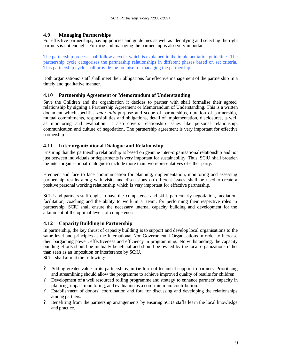## **4.9 Managing Partnerships**

For effective partnerships, having policies and guidelines as well as identifying and selecting the right partners is not enough. Forming and managing the partnership is also very important.

The partnership process shall follow a cycle, which is explained in the implementation guideline. The partnership cycle categorises the partnership relationships in different phases based on set criteria. This partnership cycle shall provide the premise for managing the partnership.

Both organisations' staff shall meet their obligations for effective management of the partnership in a timely and qualitative manner.

### **4.10 Partnership Agreement or Memorandum of Understanding**

Save the Children and the organization it decides to partner with shall formalise their agreed relationship by signing a Partnership Agreement or Memorandum of Understanding. This is a written document which specifies *inter alia* purpose and scope of partnerships, duration of partnership, mutual commitments, responsibilities and obligations, detail of implementation, disclosures, as well as monitoring and evaluation. It also covers relationship issues like personal relationship, communication and culture of negotiation. The partnership agreement is very important for effective partnership.

### **4.11 Inter-organizational Dialogue and Relationship**

Ensuring that the partnership relationship is based on genuine inter-organisational relationship and not just between individuals or departments is very important for sustainability. Thus, SCiU shall broaden the inter-organisational dialogue to include more than two representatives of either party.

Frequent and face to face communication for planning, implementation, monitoring and assessing partnership results along with visits and discussions on different issues shall be used to create a positive personal working relationship which is very important for effective partnership.

SCiU and partners staff ought to have the competence and skills particularly negotiation, mediation, facilitation, coaching and the ability to work in a team, for performing their respective roles in partnership. SCiU shall ensure the necessary internal capacity building and development for the attainment of the optimal levels of competence.

# **4.12 Capacity Building in Partnership**

In partnership, the key thrust of capacity building is to support and develop local organisations to the same level and principles as the International Non-Governmental Organisations in order to increase their bargaining power, effectiveness and efficiency in programming. Notwithstanding, the capacity building efforts should be mutually beneficial and should be owned by the local organizations rather than seen as an imposition or interference by SCiU.

SCiU shall aim at the following:

- ? Adding greater value to its partnerships, in the form of technical support to partners. Prioritising and streamlining should allow the programme to achieve improved quality of results for children.
- ? Development of a well resourced rolling programme and strategy to enhance partners' capacity in planning, impact monitoring, and evaluation as a core minimum contribution.
- ? Establishment of donors' coordination and fora for discussing and developing the relationships among partners.
- ? Benefiting from the partnership arrangements by ensuring SCiU staffs learn the local knowledge and practice.